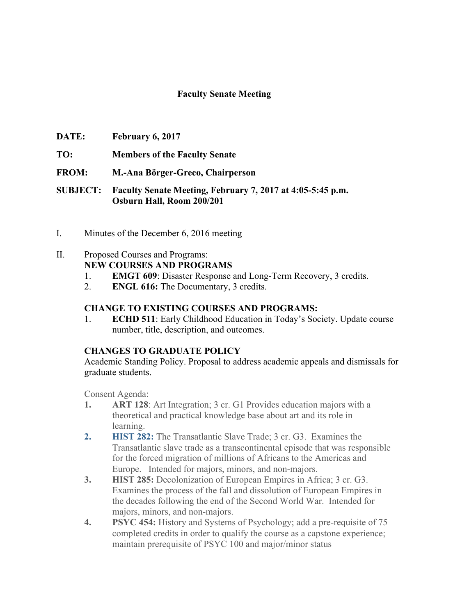## **Faculty Senate Meeting**

- **DATE: February 6, 2017**
- **TO: Members of the Faculty Senate**
- **FROM: M.-Ana Börger-Greco, Chairperson**
- **SUBJECT: Faculty Senate Meeting, February 7, 2017 at 4:05-5:45 p.m. Osburn Hall, Room 200/201**
- I. Minutes of the December 6, 2016 meeting

## II. Proposed Courses and Programs:

**NEW COURSES AND PROGRAMS**

- 1. **EMGT 609**: Disaster Response and Long-Term Recovery, 3 credits.
- 2. **ENGL 616:** The Documentary, 3 credits.

### **CHANGE TO EXISTING COURSES AND PROGRAMS:**

1. **ECHD 511**: Early Childhood Education in Today's Society. Update course number, title, description, and outcomes.

### **CHANGES TO GRADUATE POLICY**

Academic Standing Policy. Proposal to address academic appeals and dismissals for graduate students.

Consent Agenda:

- **1. ART 128**: Art Integration; 3 cr. G1 Provides education majors with a theoretical and practical knowledge base about art and its role in learning.
- **2. HIST 282:** The Transatlantic Slave Trade; 3 cr. G3. Examines the Transatlantic slave trade as a transcontinental episode that was responsible for the forced migration of millions of Africans to the Americas and Europe. Intended for majors, minors, and non-majors.
- **3. HIST 285:** Decolonization of European Empires in Africa; 3 cr. G3. Examines the process of the fall and dissolution of European Empires in the decades following the end of the Second World War. Intended for majors, minors, and non-majors.
- **4. PSYC 454:** History and Systems of Psychology; add a pre-requisite of 75 completed credits in order to qualify the course as a capstone experience; maintain prerequisite of PSYC 100 and major/minor status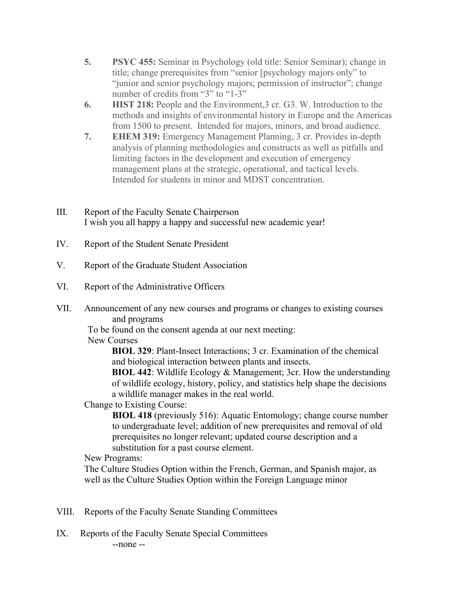- **5. PSYC 455:** Seminar in Psychology (old title: Senior Seminar); change in title; change prerequisites from "senior [psychology majors only" to "junior and senior psychology majors; permission of instructor"; change number of credits from "3" to "1-3"
- **6. HIST 218:** People and the Environment,3 cr. G3. W. Introduction to the methods and insights of environmental history in Europe and the Americas from 1500 to present. Intended for majors, minors, and broad audience.
- **7. EHEM 319:** Emergency Management Planning, 3 cr. Provides in-depth analysis of planning methodologies and constructs as well as pitfalls and limiting factors in the development and execution of emergency management plans at the strategic, operational, and tactical levels. Intended for students in minor and MDST concentration.
- III. Report of the Faculty Senate Chairperson I wish you all happy a happy and successful new academic year!
- IV. Report of the Student Senate President
- V. Report of the Graduate Student Association
- VI. Report of the Administrative Officers
- VII. Announcement of any new courses and programs or changes to existing courses and programs

To be found on the consent agenda at our next meeting:

# New Courses

**BIOL 329**: Plant-Insect Interactions; 3 cr. Examination of the chemical and biological interaction between plants and insects.

**BIOL 442**: Wildlife Ecology & Management; 3cr. How the understanding of wildlife ecology, history, policy, and statistics help shape the decisions a wildlife manager makes in the real world.

Change to Existing Course:

**BIOL 418** (previously 516): Aquatic Entomology; change course number to undergraduate level; addition of new prerequisites and removal of old prerequisites no longer relevant; updated course description and a substitution for a past course element.

# New Programs:

The Culture Studies Option within the French, German, and Spanish major, as well as the Culture Studies Option within the Foreign Language minor

- VIII. Reports of the Faculty Senate Standing Committees
- IX. Reports of the Faculty Senate Special Committees --none --